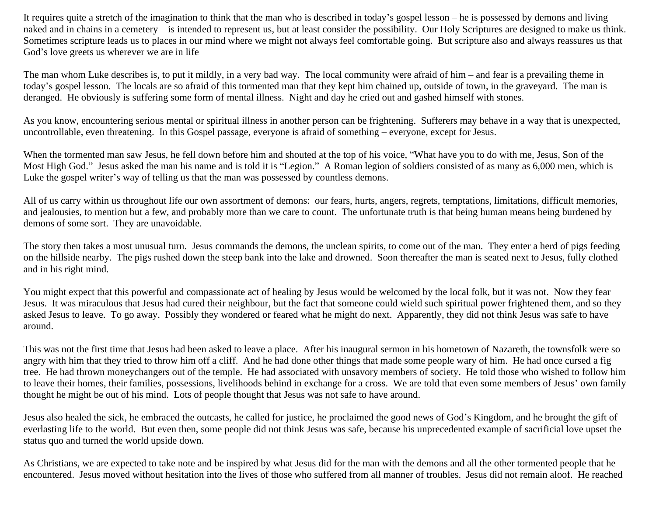It requires quite a stretch of the imagination to think that the man who is described in today's gospel lesson – he is possessed by demons and living naked and in chains in a cemetery – is intended to represent us, but at least consider the possibility. Our Holy Scriptures are designed to make us think. Sometimes scripture leads us to places in our mind where we might not always feel comfortable going. But scripture also and always reassures us that God's love greets us wherever we are in life

The man whom Luke describes is, to put it mildly, in a very bad way. The local community were afraid of him – and fear is a prevailing theme in today's gospel lesson. The locals are so afraid of this tormented man that they kept him chained up, outside of town, in the graveyard. The man is deranged. He obviously is suffering some form of mental illness. Night and day he cried out and gashed himself with stones.

As you know, encountering serious mental or spiritual illness in another person can be frightening. Sufferers may behave in a way that is unexpected, uncontrollable, even threatening. In this Gospel passage, everyone is afraid of something – everyone, except for Jesus.

When the tormented man saw Jesus, he fell down before him and shouted at the top of his voice, "What have you to do with me, Jesus, Son of the Most High God." Jesus asked the man his name and is told it is "Legion." A Roman legion of soldiers consisted of as many as 6,000 men, which is Luke the gospel writer's way of telling us that the man was possessed by countless demons.

All of us carry within us throughout life our own assortment of demons: our fears, hurts, angers, regrets, temptations, limitations, difficult memories, and jealousies, to mention but a few, and probably more than we care to count. The unfortunate truth is that being human means being burdened by demons of some sort. They are unavoidable.

The story then takes a most unusual turn. Jesus commands the demons, the unclean spirits, to come out of the man. They enter a herd of pigs feeding on the hillside nearby. The pigs rushed down the steep bank into the lake and drowned. Soon thereafter the man is seated next to Jesus, fully clothed and in his right mind.

You might expect that this powerful and compassionate act of healing by Jesus would be welcomed by the local folk, but it was not. Now they fear Jesus. It was miraculous that Jesus had cured their neighbour, but the fact that someone could wield such spiritual power frightened them, and so they asked Jesus to leave. To go away. Possibly they wondered or feared what he might do next. Apparently, they did not think Jesus was safe to have around.

This was not the first time that Jesus had been asked to leave a place. After his inaugural sermon in his hometown of Nazareth, the townsfolk were so angry with him that they tried to throw him off a cliff. And he had done other things that made some people wary of him. He had once cursed a fig tree. He had thrown moneychangers out of the temple. He had associated with unsavory members of society. He told those who wished to follow him to leave their homes, their families, possessions, livelihoods behind in exchange for a cross. We are told that even some members of Jesus' own family thought he might be out of his mind. Lots of people thought that Jesus was not safe to have around.

Jesus also healed the sick, he embraced the outcasts, he called for justice, he proclaimed the good news of God's Kingdom, and he brought the gift of everlasting life to the world. But even then, some people did not think Jesus was safe, because his unprecedented example of sacrificial love upset the status quo and turned the world upside down.

As Christians, we are expected to take note and be inspired by what Jesus did for the man with the demons and all the other tormented people that he encountered. Jesus moved without hesitation into the lives of those who suffered from all manner of troubles. Jesus did not remain aloof. He reached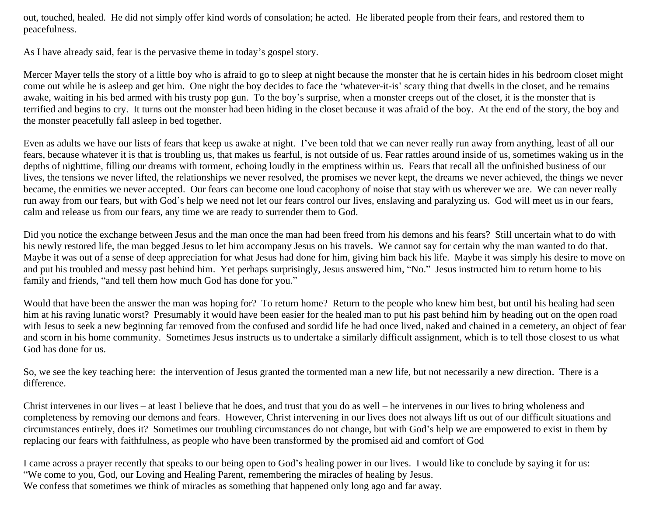out, touched, healed. He did not simply offer kind words of consolation; he acted. He liberated people from their fears, and restored them to peacefulness.

As I have already said, fear is the pervasive theme in today's gospel story.

Mercer Mayer tells the story of a little boy who is afraid to go to sleep at night because the monster that he is certain hides in his bedroom closet might come out while he is asleep and get him. One night the boy decides to face the 'whatever-it-is' scary thing that dwells in the closet, and he remains awake, waiting in his bed armed with his trusty pop gun. To the boy's surprise, when a monster creeps out of the closet, it is the monster that is terrified and begins to cry. It turns out the monster had been hiding in the closet because it was afraid of the boy. At the end of the story, the boy and the monster peacefully fall asleep in bed together.

Even as adults we have our lists of fears that keep us awake at night. I've been told that we can never really run away from anything, least of all our fears, because whatever it is that is troubling us, that makes us fearful, is not outside of us. Fear rattles around inside of us, sometimes waking us in the depths of nighttime, filling our dreams with torment, echoing loudly in the emptiness within us. Fears that recall all the unfinished business of our lives, the tensions we never lifted, the relationships we never resolved, the promises we never kept, the dreams we never achieved, the things we never became, the enmities we never accepted. Our fears can become one loud cacophony of noise that stay with us wherever we are. We can never really run away from our fears, but with God's help we need not let our fears control our lives, enslaving and paralyzing us. God will meet us in our fears, calm and release us from our fears, any time we are ready to surrender them to God.

Did you notice the exchange between Jesus and the man once the man had been freed from his demons and his fears? Still uncertain what to do with his newly restored life, the man begged Jesus to let him accompany Jesus on his travels. We cannot say for certain why the man wanted to do that. Maybe it was out of a sense of deep appreciation for what Jesus had done for him, giving him back his life. Maybe it was simply his desire to move on and put his troubled and messy past behind him. Yet perhaps surprisingly, Jesus answered him, "No." Jesus instructed him to return home to his family and friends, "and tell them how much God has done for you."

Would that have been the answer the man was hoping for? To return home? Return to the people who knew him best, but until his healing had seen him at his raving lunatic worst? Presumably it would have been easier for the healed man to put his past behind him by heading out on the open road with Jesus to seek a new beginning far removed from the confused and sordid life he had once lived, naked and chained in a cemetery, an object of fear and scorn in his home community. Sometimes Jesus instructs us to undertake a similarly difficult assignment, which is to tell those closest to us what God has done for us.

So, we see the key teaching here: the intervention of Jesus granted the tormented man a new life, but not necessarily a new direction. There is a difference.

Christ intervenes in our lives – at least I believe that he does, and trust that you do as well – he intervenes in our lives to bring wholeness and completeness by removing our demons and fears. However, Christ intervening in our lives does not always lift us out of our difficult situations and circumstances entirely, does it? Sometimes our troubling circumstances do not change, but with God's help we are empowered to exist in them by replacing our fears with faithfulness, as people who have been transformed by the promised aid and comfort of God

I came across a prayer recently that speaks to our being open to God's healing power in our lives. I would like to conclude by saying it for us: "We come to you, God, our Loving and Healing Parent, remembering the miracles of healing by Jesus. We confess that sometimes we think of miracles as something that happened only long ago and far away.